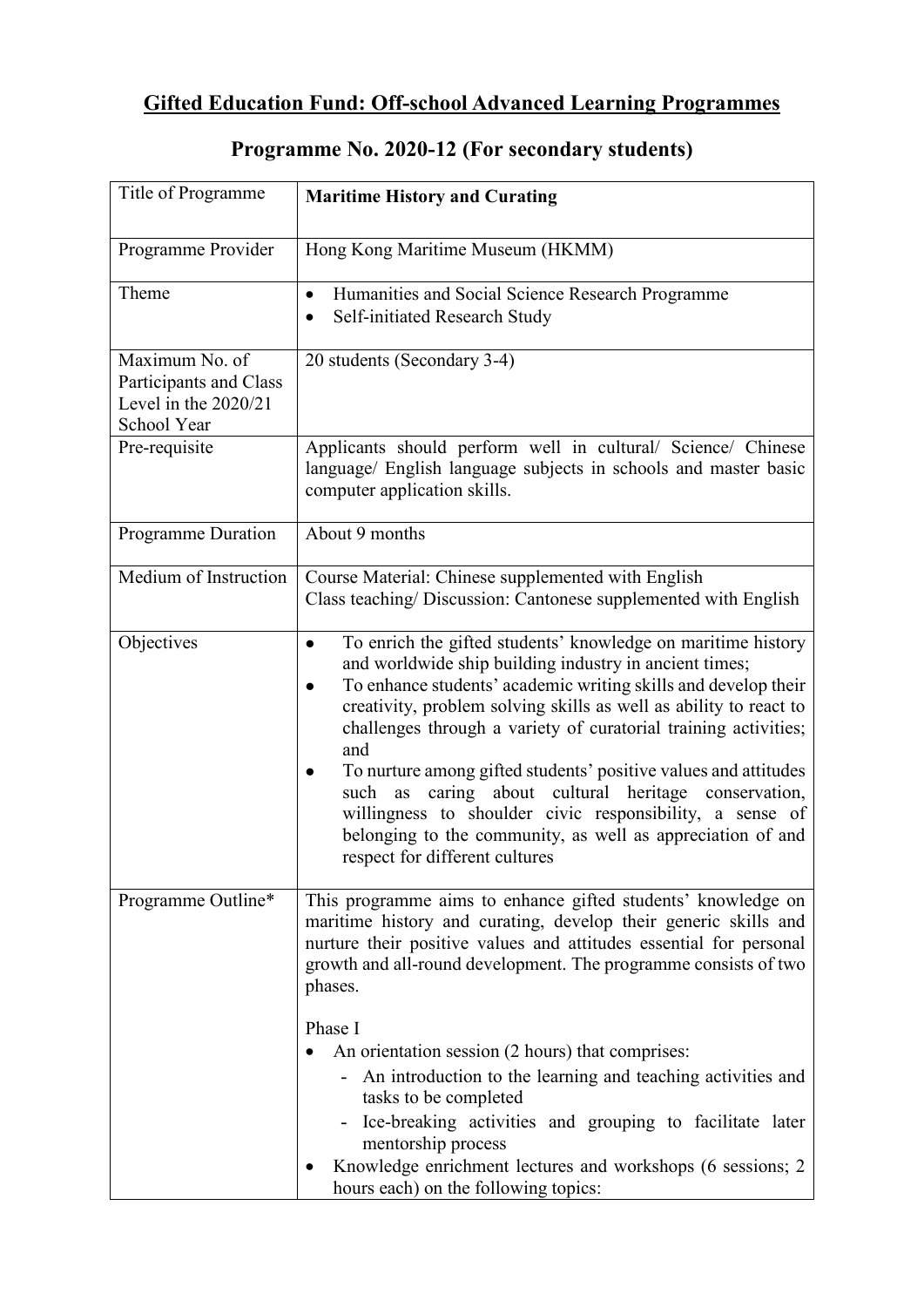## **Gifted Education Fund: Off-school Advanced Learning Programmes**

| Title of Programme                                                                | <b>Maritime History and Curating</b>                                                                                                                                                                                                                                                                                                                                                                                                                                                                                                                                                                                                                           |
|-----------------------------------------------------------------------------------|----------------------------------------------------------------------------------------------------------------------------------------------------------------------------------------------------------------------------------------------------------------------------------------------------------------------------------------------------------------------------------------------------------------------------------------------------------------------------------------------------------------------------------------------------------------------------------------------------------------------------------------------------------------|
| Programme Provider                                                                | Hong Kong Maritime Museum (HKMM)                                                                                                                                                                                                                                                                                                                                                                                                                                                                                                                                                                                                                               |
| Theme                                                                             | Humanities and Social Science Research Programme<br>$\bullet$<br>Self-initiated Research Study                                                                                                                                                                                                                                                                                                                                                                                                                                                                                                                                                                 |
| Maximum No. of<br>Participants and Class<br>Level in the $2020/21$<br>School Year | 20 students (Secondary 3-4)                                                                                                                                                                                                                                                                                                                                                                                                                                                                                                                                                                                                                                    |
| Pre-requisite                                                                     | Applicants should perform well in cultural/ Science/ Chinese<br>language/ English language subjects in schools and master basic<br>computer application skills.                                                                                                                                                                                                                                                                                                                                                                                                                                                                                                |
| <b>Programme Duration</b>                                                         | About 9 months                                                                                                                                                                                                                                                                                                                                                                                                                                                                                                                                                                                                                                                 |
| Medium of Instruction                                                             | Course Material: Chinese supplemented with English<br>Class teaching/ Discussion: Cantonese supplemented with English                                                                                                                                                                                                                                                                                                                                                                                                                                                                                                                                          |
| Objectives                                                                        | To enrich the gifted students' knowledge on maritime history<br>$\bullet$<br>and worldwide ship building industry in ancient times;<br>To enhance students' academic writing skills and develop their<br>$\bullet$<br>creativity, problem solving skills as well as ability to react to<br>challenges through a variety of curatorial training activities;<br>and<br>To nurture among gifted students' positive values and attitudes<br>caring about cultural heritage conservation,<br>such<br>as<br>willingness to shoulder civic responsibility, a sense of<br>belonging to the community, as well as appreciation of and<br>respect for different cultures |
| Programme Outline*                                                                | This programme aims to enhance gifted students' knowledge on<br>maritime history and curating, develop their generic skills and<br>nurture their positive values and attitudes essential for personal<br>growth and all-round development. The programme consists of two<br>phases.<br>Phase I                                                                                                                                                                                                                                                                                                                                                                 |
|                                                                                   | An orientation session (2 hours) that comprises:<br>- An introduction to the learning and teaching activities and<br>tasks to be completed<br>- Ice-breaking activities and grouping to facilitate later<br>mentorship process<br>Knowledge enrichment lectures and workshops (6 sessions; 2<br>hours each) on the following topics:                                                                                                                                                                                                                                                                                                                           |

## **Programme No. 2020-12 (For secondary students)**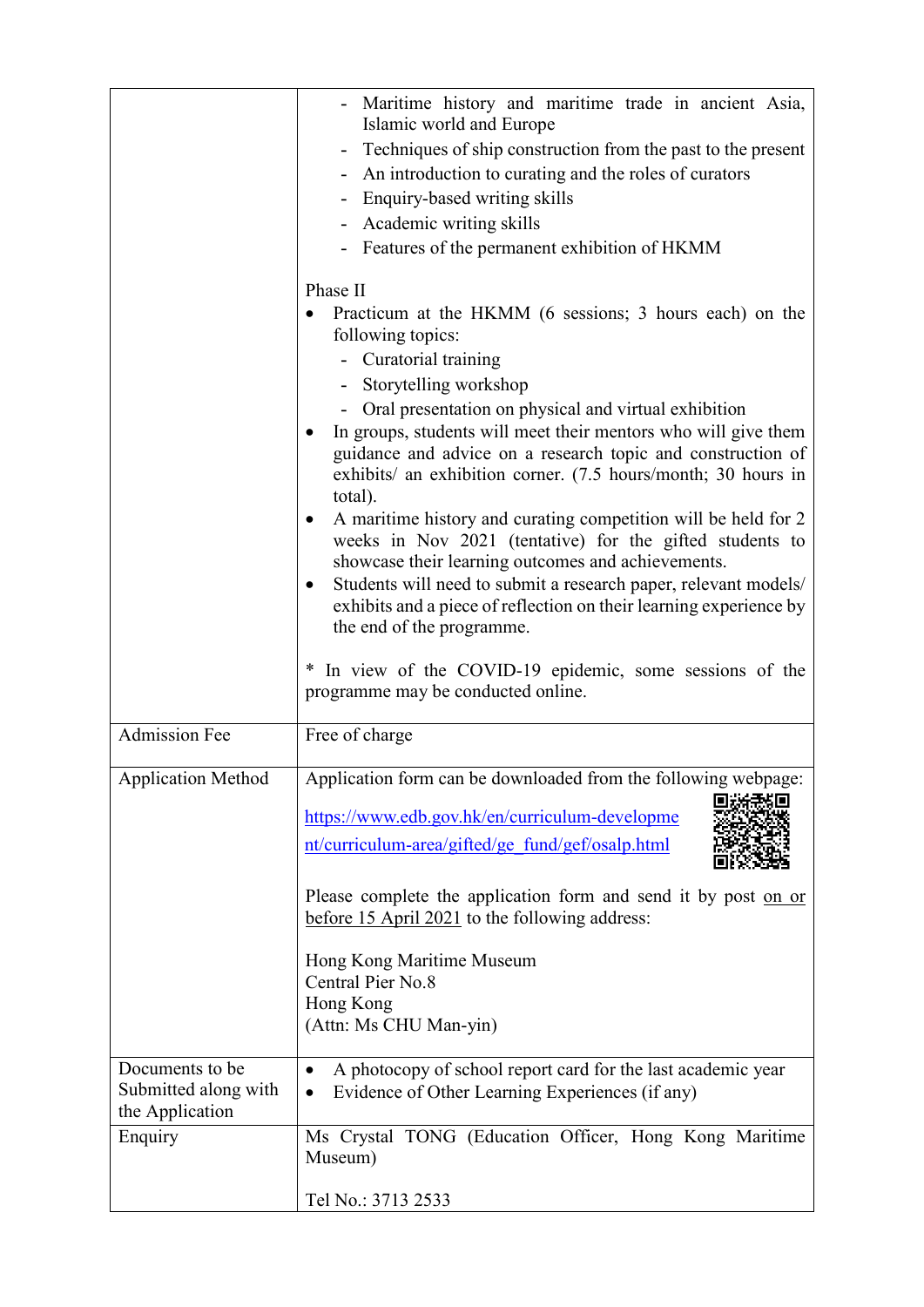|                                                            | - Maritime history and maritime trade in ancient Asia,<br>Islamic world and Europe<br>Techniques of ship construction from the past to the present<br>- An introduction to curating and the roles of curators<br>Enquiry-based writing skills<br>Academic writing skills<br>- Features of the permanent exhibition of HKMM<br>Phase II<br>Practicum at the HKMM (6 sessions; 3 hours each) on the<br>following topics:<br>- Curatorial training<br>Storytelling workshop<br>Oral presentation on physical and virtual exhibition<br>In groups, students will meet their mentors who will give them<br>guidance and advice on a research topic and construction of<br>exhibits/ an exhibition corner. (7.5 hours/month; 30 hours in<br>total).<br>A maritime history and curating competition will be held for 2<br>weeks in Nov 2021 (tentative) for the gifted students to<br>showcase their learning outcomes and achievements.<br>Students will need to submit a research paper, relevant models/<br>$\bullet$<br>exhibits and a piece of reflection on their learning experience by<br>the end of the programme. |
|------------------------------------------------------------|----------------------------------------------------------------------------------------------------------------------------------------------------------------------------------------------------------------------------------------------------------------------------------------------------------------------------------------------------------------------------------------------------------------------------------------------------------------------------------------------------------------------------------------------------------------------------------------------------------------------------------------------------------------------------------------------------------------------------------------------------------------------------------------------------------------------------------------------------------------------------------------------------------------------------------------------------------------------------------------------------------------------------------------------------------------------------------------------------------------------|
|                                                            | * In view of the COVID-19 epidemic, some sessions of the<br>programme may be conducted online.                                                                                                                                                                                                                                                                                                                                                                                                                                                                                                                                                                                                                                                                                                                                                                                                                                                                                                                                                                                                                       |
| Admission Fee                                              | Free of charge                                                                                                                                                                                                                                                                                                                                                                                                                                                                                                                                                                                                                                                                                                                                                                                                                                                                                                                                                                                                                                                                                                       |
| <b>Application Method</b>                                  | Application form can be downloaded from the following webpage:<br>https://www.edb.gov.hk/en/curriculum-developme<br>nt/curriculum-area/gifted/ge fund/gef/osalp.html<br>Please complete the application form and send it by post on or<br>before 15 April 2021 to the following address:<br>Hong Kong Maritime Museum<br>Central Pier No.8<br>Hong Kong<br>(Attn: Ms CHU Man-yin)                                                                                                                                                                                                                                                                                                                                                                                                                                                                                                                                                                                                                                                                                                                                    |
| Documents to be<br>Submitted along with<br>the Application | A photocopy of school report card for the last academic year<br>$\bullet$<br>Evidence of Other Learning Experiences (if any)                                                                                                                                                                                                                                                                                                                                                                                                                                                                                                                                                                                                                                                                                                                                                                                                                                                                                                                                                                                         |
| Enquiry                                                    | Ms Crystal TONG (Education Officer, Hong Kong Maritime<br>Museum)<br>Tel No.: 3713 2533                                                                                                                                                                                                                                                                                                                                                                                                                                                                                                                                                                                                                                                                                                                                                                                                                                                                                                                                                                                                                              |